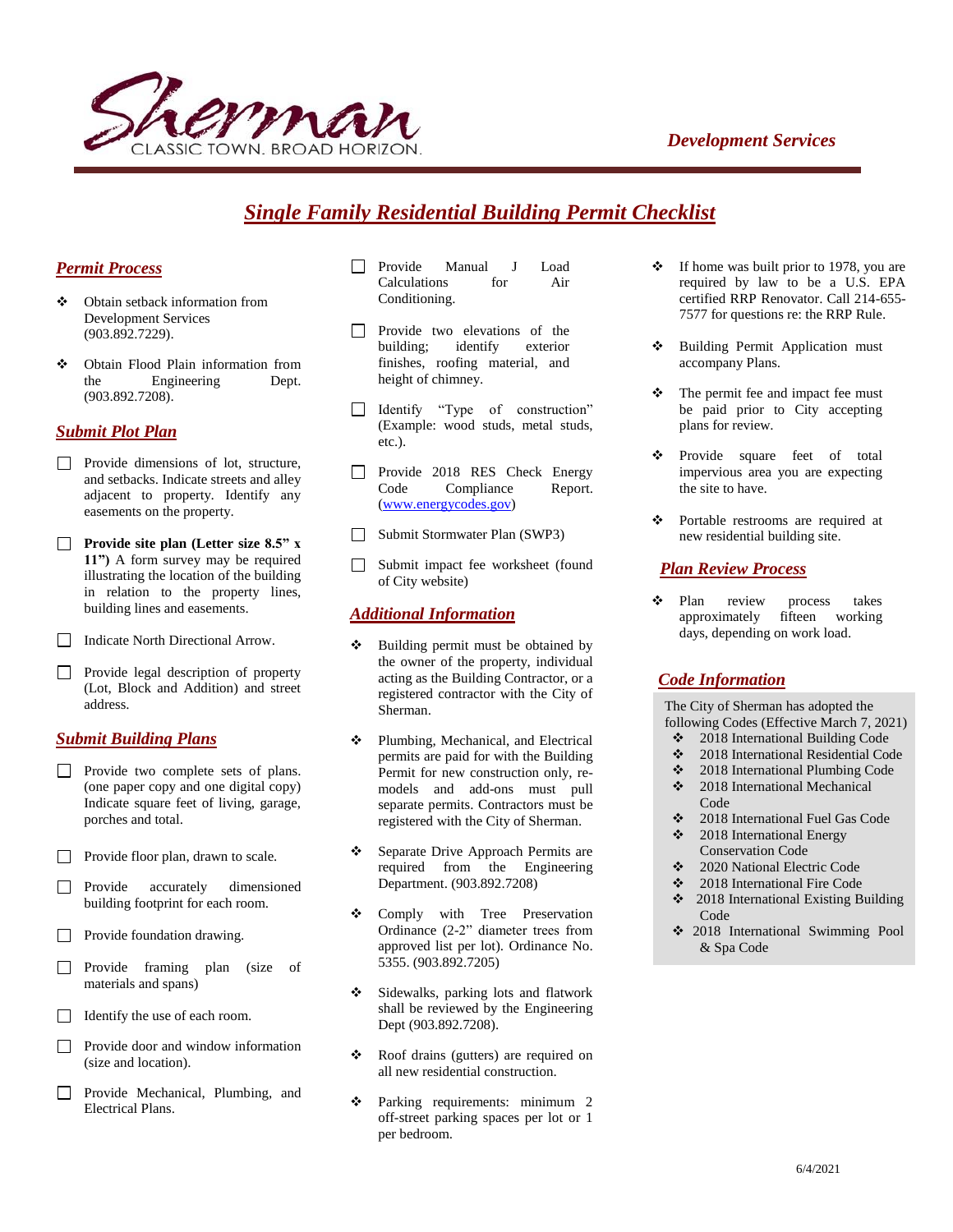



# *Single Family Residential Building Permit Checklist*

#### *Permit Process*

- Obtain setback information from Development Services (903.892.7229).
- Obtain Flood Plain information from the Engineering Dept. (903.892.7208).

### *Submit Plot Plan*

- Provide dimensions of lot, structure, and setbacks. Indicate streets and alley adjacent to property. Identify any easements on the property.
- **Provide site plan (Letter size 8.5" x 11")** A form survey may be required illustrating the location of the building in relation to the property lines, building lines and easements.
- Indicate North Directional Arrow.
- Provide legal description of property (Lot, Block and Addition) and street address.

#### *Submit Building Plans*

- Provide two complete sets of plans. (one paper copy and one digital copy) Indicate square feet of living, garage, porches and total.
- Provide floor plan, drawn to scale.
- Provide accurately dimensioned building footprint for each room.
- $\Box$  Provide foundation drawing.
- Provide framing plan (size of materials and spans)
- Identify the use of each room.
- $\Box$ Provide door and window information (size and location).
- Provide Mechanical, Plumbing, and  $\Box$ Electrical Plans.
- Provide Manual J Load Calculations for Air Conditioning.
- Provide two elevations of the building; identify exterior finishes, roofing material, and height of chimney.
- Identify "Type of construction" (Example: wood studs, metal studs, etc.).
- Provide 2018 RES Check Energy Code Compliance Report. [\(www.energycodes.gov\)](http://www.energycodes.gov/)
- □ Submit Stormwater Plan (SWP3)
- Submit impact fee worksheet (found of City website)

#### *Additional Information*

- Building permit must be obtained by the owner of the property, individual acting as the Building Contractor, or a registered contractor with the City of Sherman.
- **\*** Plumbing, Mechanical, and Electrical permits are paid for with the Building Permit for new construction only, remodels and add-ons must pull separate permits. Contractors must be registered with the City of Sherman.
- Separate Drive Approach Permits are required from the Engineering Department. (903.892.7208)
- Comply with Tree Preservation Ordinance (2-2" diameter trees from approved list per lot). Ordinance No. 5355. (903.892.7205)
- Sidewalks, parking lots and flatwork shall be reviewed by the Engineering Dept (903.892.7208).
- Roof drains (gutters) are required on all new residential construction.
- Parking requirements: minimum 2 off-street parking spaces per lot or 1 per bedroom.
- $\div$  If home was built prior to 1978, you are required by law to be a U.S. EPA certified RRP Renovator. Call 214-655- 7577 for questions re: the RRP Rule.
- Building Permit Application must accompany Plans.
- The permit fee and impact fee must be paid prior to City accepting plans for review.
- Provide square feet of total impervious area you are expecting the site to have.
- Portable restrooms are required at new residential building site.

### *Plan Review Process*

• Plan review process takes approximately fifteen working days, depending on work load.

### *Code Information*

The City of Sherman has adopted the following Codes (Effective March 7, 2021)

- 2018 International Building Code
- 2018 International Residential Code
- 2018 International Plumbing Code  $\div$  2018 International Mechanical
- Code
- 2018 International Fuel Gas Code  $\div$  2018 International Energy
- Conservation Code
- 2020 National Electric Code
- 2018 International Fire Code
- 2018 International Existing Building Code
- 2018 International Swimming Pool & Spa Code